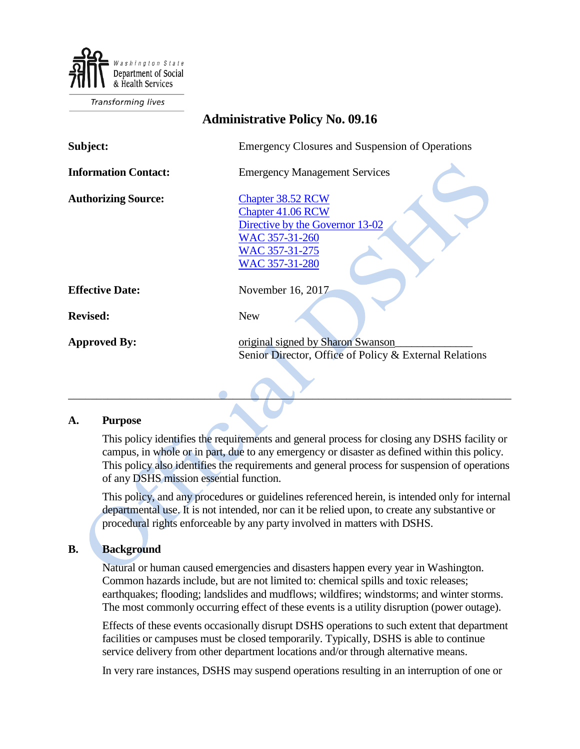

Transforming lives

# **Administrative Policy No. 09.16**

| Subject:                    | Emergency Closures and Suspension of Operations                                                                                        |
|-----------------------------|----------------------------------------------------------------------------------------------------------------------------------------|
| <b>Information Contact:</b> | <b>Emergency Management Services</b>                                                                                                   |
| <b>Authorizing Source:</b>  | Chapter 38.52 RCW<br><b>Chapter 41.06 RCW</b><br>Directive by the Governor 13-02<br>WAC 357-31-260<br>WAC 357-31-275<br>WAC 357-31-280 |
| <b>Effective Date:</b>      | November 16, 2017                                                                                                                      |
| <b>Revised:</b>             | <b>New</b>                                                                                                                             |
| <b>Approved By:</b>         | original signed by Sharon Swanson<br>Senior Director, Office of Policy & External Relations                                            |

#### **A. Purpose**

This policy identifies the requirements and general process for closing any DSHS facility or campus, in whole or in part, due to any emergency or disaster as defined within this policy. This policy also identifies the requirements and general process for suspension of operations of any DSHS mission essential function.

 $\bullet$  ,  $\bullet$  ,  $\bullet$  ,  $\bullet$  ,  $\bullet$  ,  $\bullet$  ,  $\bullet$  ,  $\bullet$  ,  $\bullet$  ,  $\bullet$  ,  $\bullet$  ,  $\bullet$  ,  $\bullet$  ,  $\bullet$  ,  $\bullet$  ,  $\bullet$  ,  $\bullet$  ,  $\bullet$  ,  $\bullet$  ,  $\bullet$  ,  $\bullet$  ,  $\bullet$  ,  $\bullet$  ,  $\bullet$  ,  $\bullet$  ,  $\bullet$  ,  $\bullet$  ,  $\bullet$  ,  $\bullet$  ,  $\bullet$  ,  $\bullet$  ,  $\bullet$ 

This policy, and any procedures or guidelines referenced herein, is intended only for internal departmental use. It is not intended, nor can it be relied upon, to create any substantive or procedural rights enforceable by any party involved in matters with DSHS.

# **B. Background**

Natural or human caused emergencies and disasters happen every year in Washington. Common hazards include, but are not limited to: chemical spills and toxic releases; earthquakes; flooding; landslides and mudflows; wildfires; windstorms; and winter storms. The most commonly occurring effect of these events is a utility disruption (power outage).

Effects of these events occasionally disrupt DSHS operations to such extent that department facilities or campuses must be closed temporarily. Typically, DSHS is able to continue service delivery from other department locations and/or through alternative means.

In very rare instances, DSHS may suspend operations resulting in an interruption of one or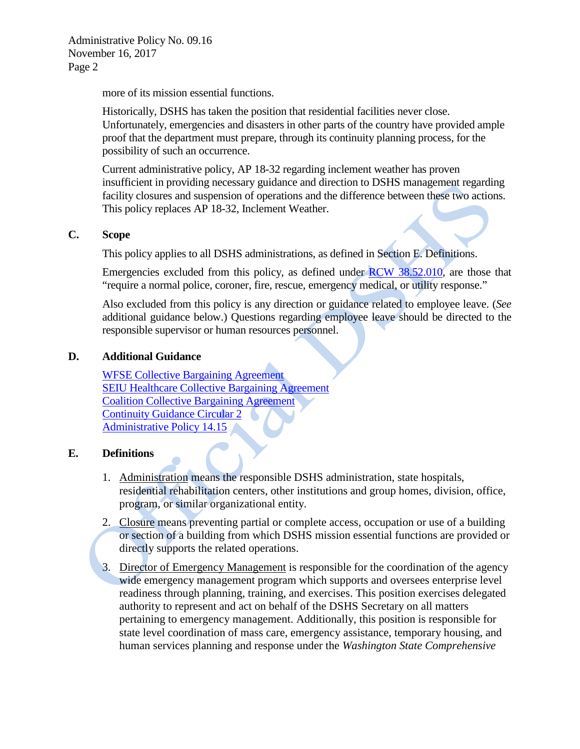Administrative Policy No. 09.16 November 16, 2017 Page 2

more of its mission essential functions.

Historically, DSHS has taken the position that residential facilities never close. Unfortunately, emergencies and disasters in other parts of the country have provided ample proof that the department must prepare, through its continuity planning process, for the possibility of such an occurrence.

Current administrative policy, AP 18-32 regarding inclement weather has proven insufficient in providing necessary guidance and direction to DSHS management regarding facility closures and suspension of operations and the difference between these two actions. This policy replaces AP 18-32, Inclement Weather.

#### **C. Scope**

This policy applies to all DSHS administrations, as defined in Section E. Definitions.

Emergencies excluded from this policy, as defined under [RCW 38.52.010,](http://app.leg.wa.gov/RCW/default.aspx?cite=38.52.010) are those that "require a normal police, coroner, fire, rescue, emergency medical, or utility response."

Also excluded from this policy is any direction or guidance related to employee leave. (*See*  additional guidance below.) Questions regarding employee leave should be directed to the responsible supervisor or human resources personnel.

#### **D. Additional Guidance**

[WFSE Collective Bargaining Agreement](http://ofm.wa.gov/labor/agreements/15-17/wfse_gg.pdf) [SEIU Healthcare Collective Bargaining Agreement](http://www.ofm.wa.gov/labor/agreements/15-17/nse_childcare.pdf) [Coalition Collective Bargaining Agreement](http://www.ofm.wa.gov/labor/agreements/15-17/coalition.pdf) [Continuity Guidance Circular 2](http://www.fema.gov/media-library-data/1384435934615-7eeac7d0b4f189839f396a3c64eeac7a/Continuity+Guidance+Circular+2.pdf) [Administrative Policy 14.15](http://one.dshs.wa.lcl/Policies/Administrative/DSHS-AP-14-15.pdf)

# **E. Definitions**

- 1. Administration means the responsible DSHS administration, state hospitals, residential rehabilitation centers, other institutions and group homes, division, office, program, or similar organizational entity.
- 2. Closure means preventing partial or complete access, occupation or use of a building or section of a building from which DSHS mission essential functions are provided or directly supports the related operations.
- 3. Director of Emergency Management is responsible for the coordination of the agency wide emergency management program which supports and oversees enterprise level readiness through planning, training, and exercises. This position exercises delegated authority to represent and act on behalf of the DSHS Secretary on all matters pertaining to emergency management. Additionally, this position is responsible for state level coordination of mass care, emergency assistance, temporary housing, and human services planning and response under the *Washington State Comprehensive*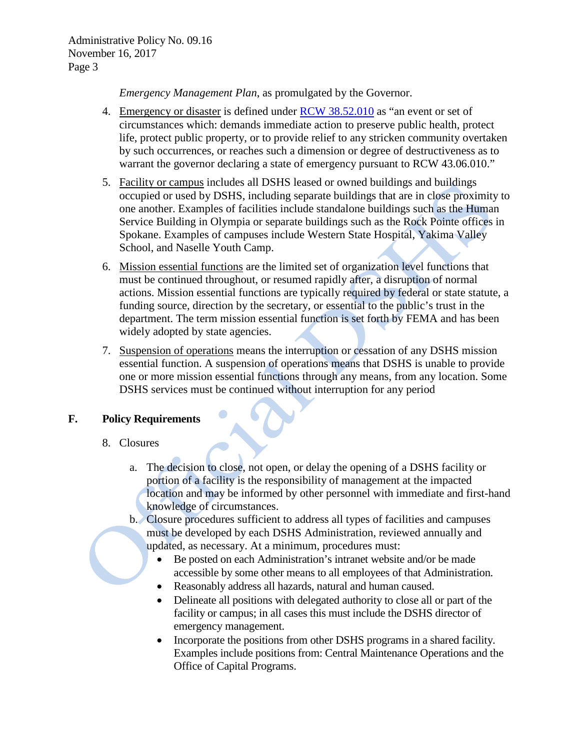*Emergency Management Plan*, as promulgated by the Governor.

- 4. Emergency or disaster is defined under [RCW 38.52.010](http://app.leg.wa.gov/RCW/default.aspx?cite=38.52.010) as "an event or set of circumstances which: demands immediate action to preserve public health, protect life, protect public property, or to provide relief to any stricken community overtaken by such occurrences, or reaches such a dimension or degree of destructiveness as to warrant the governor declaring a state of emergency pursuant to RCW 43.06.010."
- 5. Facility or campus includes all DSHS leased or owned buildings and buildings occupied or used by DSHS, including separate buildings that are in close proximity to one another. Examples of facilities include standalone buildings such as the Human Service Building in Olympia or separate buildings such as the Rock Pointe offices in Spokane. Examples of campuses include Western State Hospital, Yakima Valley School, and Naselle Youth Camp.
- 6. Mission essential functions are the limited set of organization level functions that must be continued throughout, or resumed rapidly after, a disruption of normal actions. Mission essential functions are typically required by federal or state statute, a funding source, direction by the secretary, or essential to the public's trust in the department. The term mission essential function is set forth by FEMA and has been widely adopted by state agencies.
- 7. Suspension of operations means the interruption or cessation of any DSHS mission essential function. A suspension of operations means that DSHS is unable to provide one or more mission essential functions through any means, from any location. Some DSHS services must be continued without interruption for any period

# **F. Policy Requirements**

# 8. Closures

- a. The decision to close, not open, or delay the opening of a DSHS facility or portion of a facility is the responsibility of management at the impacted location and may be informed by other personnel with immediate and first-hand knowledge of circumstances.
- b. Closure procedures sufficient to address all types of facilities and campuses must be developed by each DSHS Administration, reviewed annually and updated, as necessary. At a minimum, procedures must:
	- Be posted on each Administration's intranet website and/or be made accessible by some other means to all employees of that Administration.
	- Reasonably address all hazards, natural and human caused.
	- Delineate all positions with delegated authority to close all or part of the facility or campus; in all cases this must include the DSHS director of emergency management.
	- Incorporate the positions from other DSHS programs in a shared facility. Examples include positions from: Central Maintenance Operations and the Office of Capital Programs.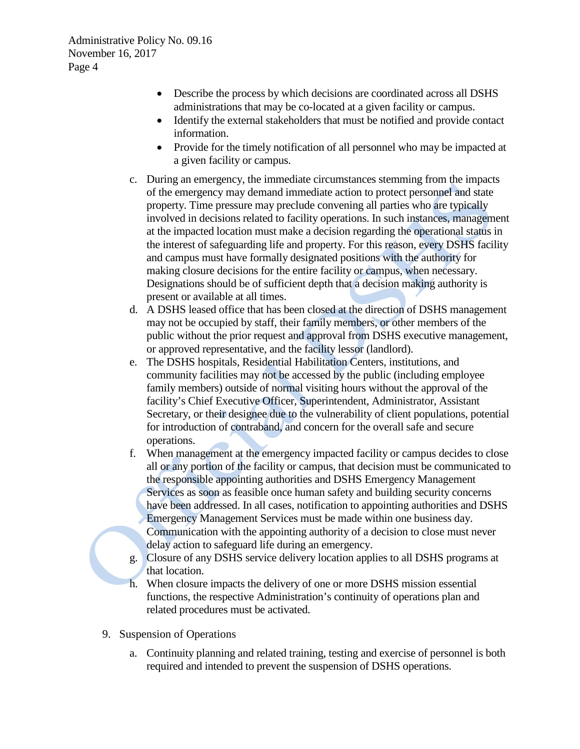- Describe the process by which decisions are coordinated across all DSHS administrations that may be co-located at a given facility or campus.
- Identify the external stakeholders that must be notified and provide contact information.
- Provide for the timely notification of all personnel who may be impacted at a given facility or campus.
- c. During an emergency, the immediate circumstances stemming from the impacts of the emergency may demand immediate action to protect personnel and state property. Time pressure may preclude convening all parties who are typically involved in decisions related to facility operations. In such instances, management at the impacted location must make a decision regarding the operational status in the interest of safeguarding life and property. For this reason, every DSHS facility and campus must have formally designated positions with the authority for making closure decisions for the entire facility or campus, when necessary. Designations should be of sufficient depth that a decision making authority is present or available at all times.
- d. A DSHS leased office that has been closed at the direction of DSHS management may not be occupied by staff, their family members, or other members of the public without the prior request and approval from DSHS executive management, or approved representative, and the facility lessor (landlord).
- e. The DSHS hospitals, Residential Habilitation Centers, institutions, and community facilities may not be accessed by the public (including employee family members) outside of normal visiting hours without the approval of the facility's Chief Executive Officer, Superintendent, Administrator, Assistant Secretary, or their designee due to the vulnerability of client populations, potential for introduction of contraband, and concern for the overall safe and secure operations.
- f. When management at the emergency impacted facility or campus decides to close all or any portion of the facility or campus, that decision must be communicated to the responsible appointing authorities and DSHS Emergency Management Services as soon as feasible once human safety and building security concerns have been addressed. In all cases, notification to appointing authorities and DSHS Emergency Management Services must be made within one business day. Communication with the appointing authority of a decision to close must never delay action to safeguard life during an emergency.
- g. Closure of any DSHS service delivery location applies to all DSHS programs at that location.
- h. When closure impacts the delivery of one or more DSHS mission essential functions, the respective Administration's continuity of operations plan and related procedures must be activated.
- 9. Suspension of Operations
	- a. Continuity planning and related training, testing and exercise of personnel is both required and intended to prevent the suspension of DSHS operations.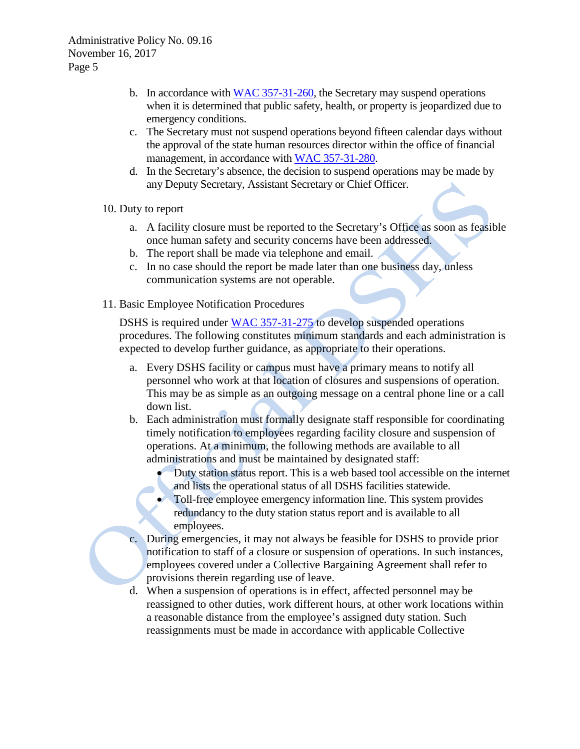- b. In accordance with [WAC 357-31-260,](http://apps.leg.wa.gov/wac/default.aspx?cite=357-31-260) the Secretary may suspend operations when it is determined that public safety, health, or property is jeopardized due to emergency conditions.
- c. The Secretary must not suspend operations beyond fifteen calendar days without the approval of the state human resources director within the office of financial management, in accordance with [WAC 357-31-280.](http://apps.leg.wa.gov/wac/default.aspx?cite=357-31-280)
- d. In the Secretary's absence, the decision to suspend operations may be made by any Deputy Secretary, Assistant Secretary or Chief Officer.
- 10. Duty to report
	- a. A facility closure must be reported to the Secretary's Office as soon as feasible once human safety and security concerns have been addressed.
	- b. The report shall be made via telephone and email.
	- c. In no case should the report be made later than one business day, unless communication systems are not operable.
- 11. Basic Employee Notification Procedures

DSHS is required under [WAC 357-31-275](http://apps.leg.wa.gov/wac/default.aspx?cite=357-31-275) to develop suspended operations procedures. The following constitutes minimum standards and each administration is expected to develop further guidance, as appropriate to their operations.

- a. Every DSHS facility or campus must have a primary means to notify all personnel who work at that location of closures and suspensions of operation. This may be as simple as an outgoing message on a central phone line or a call down list.
- b. Each administration must formally designate staff responsible for coordinating timely notification to employees regarding facility closure and suspension of operations. At a minimum, the following methods are available to all administrations and must be maintained by designated staff:
	- Duty station status report. This is a web based tool accessible on the internet and lists the operational status of all DSHS facilities statewide.
	- Toll-free employee emergency information line. This system provides redundancy to the duty station status report and is available to all employees.
- c. During emergencies, it may not always be feasible for DSHS to provide prior notification to staff of a closure or suspension of operations. In such instances, employees covered under a Collective Bargaining Agreement shall refer to provisions therein regarding use of leave.
- d. When a suspension of operations is in effect, affected personnel may be reassigned to other duties, work different hours, at other work locations within a reasonable distance from the employee's assigned duty station. Such reassignments must be made in accordance with applicable Collective